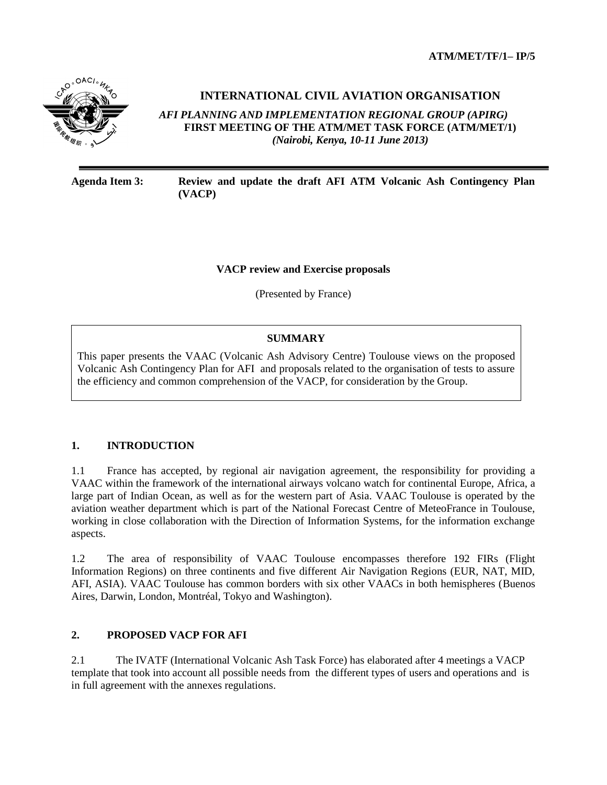

# **INTERNATIONAL CIVIL AVIATION ORGANISATION**

*AFI PLANNING AND IMPLEMENTATION REGIONAL GROUP (APIRG)* **FIRST MEETING OF THE ATM/MET TASK FORCE (ATM/MET/1)**  *(Nairobi, Kenya, 10-11 June 2013)*

**Agenda Item 3: Review and update the draft AFI ATM Volcanic Ash Contingency Plan (VACP)**

### **VACP review and Exercise proposals**

(Presented by France)

## **SUMMARY**

This paper presents the VAAC (Volcanic Ash Advisory Centre) Toulouse views on the proposed Volcanic Ash Contingency Plan for AFI and proposals related to the organisation of tests to assure the efficiency and common comprehension of the VACP, for consideration by the Group.

### **1. INTRODUCTION**

1.1 France has accepted, by regional air navigation agreement, the responsibility for providing a VAAC within the framework of the international airways volcano watch for continental Europe, Africa, a large part of Indian Ocean, as well as for the western part of Asia. VAAC Toulouse is operated by the aviation weather department which is part of the National Forecast Centre of MeteoFrance in Toulouse, working in close collaboration with the Direction of Information Systems, for the information exchange aspects.

1.2 The area of responsibility of VAAC Toulouse encompasses therefore 192 FIRs (Flight Information Regions) on three continents and five different Air Navigation Regions (EUR, NAT, MID, AFI, ASIA). VAAC Toulouse has common borders with six other VAACs in both hemispheres (Buenos Aires, Darwin, London, Montréal, Tokyo and Washington).

### **2. PROPOSED VACP FOR AFI**

2.1 The IVATF (International Volcanic Ash Task Force) has elaborated after 4 meetings a VACP template that took into account all possible needs from the different types of users and operations and is in full agreement with the annexes regulations.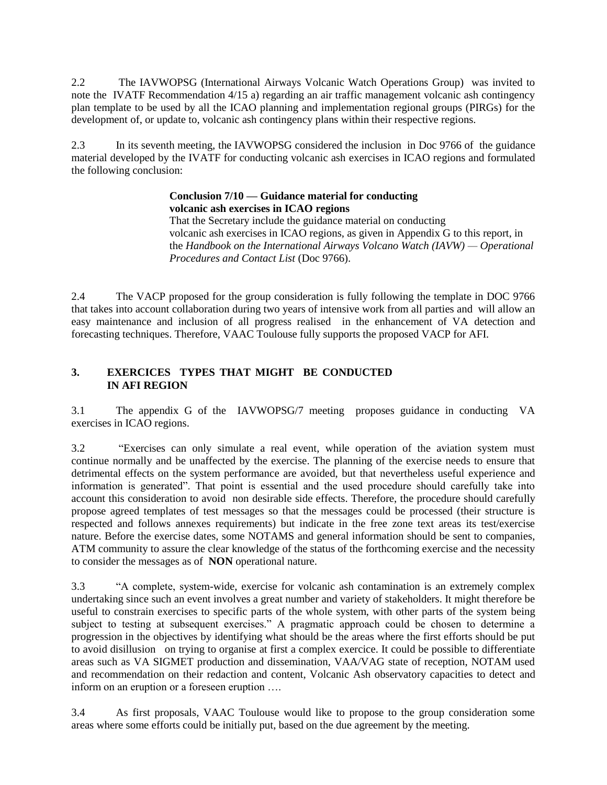2.2 The IAVWOPSG (International Airways Volcanic Watch Operations Group) was invited to note the IVATF Recommendation 4/15 a) regarding an air traffic management volcanic ash contingency plan template to be used by all the ICAO planning and implementation regional groups (PIRGs) for the development of, or update to, volcanic ash contingency plans within their respective regions.

2.3 In its seventh meeting, the IAVWOPSG considered the inclusion in Doc 9766 of the guidance material developed by the IVATF for conducting volcanic ash exercises in ICAO regions and formulated the following conclusion:

#### **Conclusion 7/10 — Guidance material for conducting volcanic ash exercises in ICAO regions**

That the Secretary include the guidance material on conducting volcanic ash exercises in ICAO regions, as given in Appendix G to this report, in the *Handbook on the International Airways Volcano Watch (IAVW) — Operational Procedures and Contact List* (Doc 9766).

2.4 The VACP proposed for the group consideration is fully following the template in DOC 9766 that takes into account collaboration during two years of intensive work from all parties and will allow an easy maintenance and inclusion of all progress realised in the enhancement of VA detection and forecasting techniques. Therefore, VAAC Toulouse fully supports the proposed VACP for AFI.

# **3. EXERCICES TYPES THAT MIGHT BE CONDUCTED IN AFI REGION**

3.1 The appendix G of the IAVWOPSG/7 meeting proposes guidance in conducting VA exercises in ICAO regions.

3.2 "Exercises can only simulate a real event, while operation of the aviation system must continue normally and be unaffected by the exercise. The planning of the exercise needs to ensure that detrimental effects on the system performance are avoided, but that nevertheless useful experience and information is generated". That point is essential and the used procedure should carefully take into account this consideration to avoid non desirable side effects. Therefore, the procedure should carefully propose agreed templates of test messages so that the messages could be processed (their structure is respected and follows annexes requirements) but indicate in the free zone text areas its test/exercise nature. Before the exercise dates, some NOTAMS and general information should be sent to companies, ATM community to assure the clear knowledge of the status of the forthcoming exercise and the necessity to consider the messages as of **NON** operational nature.

3.3 "A complete, system-wide, exercise for volcanic ash contamination is an extremely complex undertaking since such an event involves a great number and variety of stakeholders. It might therefore be useful to constrain exercises to specific parts of the whole system, with other parts of the system being subject to testing at subsequent exercises." A pragmatic approach could be chosen to determine a progression in the objectives by identifying what should be the areas where the first efforts should be put to avoid disillusion on trying to organise at first a complex exercice. It could be possible to differentiate areas such as VA SIGMET production and dissemination, VAA/VAG state of reception, NOTAM used and recommendation on their redaction and content, Volcanic Ash observatory capacities to detect and inform on an eruption or a foreseen eruption ….

3.4 As first proposals, VAAC Toulouse would like to propose to the group consideration some areas where some efforts could be initially put, based on the due agreement by the meeting.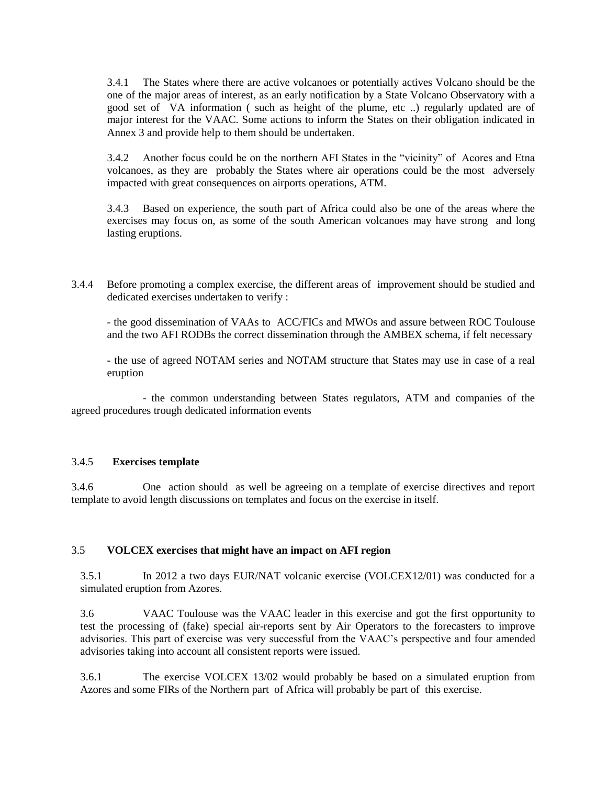3.4.1 The States where there are active volcanoes or potentially actives Volcano should be the one of the major areas of interest, as an early notification by a State Volcano Observatory with a good set of VA information ( such as height of the plume, etc ..) regularly updated are of major interest for the VAAC. Some actions to inform the States on their obligation indicated in Annex 3 and provide help to them should be undertaken.

3.4.2 Another focus could be on the northern AFI States in the "vicinity" of Acores and Etna volcanoes, as they are probably the States where air operations could be the most adversely impacted with great consequences on airports operations, ATM.

3.4.3 Based on experience, the south part of Africa could also be one of the areas where the exercises may focus on, as some of the south American volcanoes may have strong and long lasting eruptions.

3.4.4 Before promoting a complex exercise, the different areas of improvement should be studied and dedicated exercises undertaken to verify :

- the good dissemination of VAAs to ACC/FICs and MWOs and assure between ROC Toulouse and the two AFI RODBs the correct dissemination through the AMBEX schema, if felt necessary

- the use of agreed NOTAM series and NOTAM structure that States may use in case of a real eruption

- the common understanding between States regulators, ATM and companies of the agreed procedures trough dedicated information events

### 3.4.5 **Exercises template**

3.4.6 One action should as well be agreeing on a template of exercise directives and report template to avoid length discussions on templates and focus on the exercise in itself.

### 3.5 **VOLCEX exercises that might have an impact on AFI region**

3.5.1 In 2012 a two days EUR/NAT volcanic exercise (VOLCEX12/01) was conducted for a simulated eruption from Azores.

3.6 VAAC Toulouse was the VAAC leader in this exercise and got the first opportunity to test the processing of (fake) special air-reports sent by Air Operators to the forecasters to improve advisories. This part of exercise was very successful from the VAAC's perspective and four amended advisories taking into account all consistent reports were issued.

3.6.1 The exercise VOLCEX 13/02 would probably be based on a simulated eruption from Azores and some FIRs of the Northern part of Africa will probably be part of this exercise.